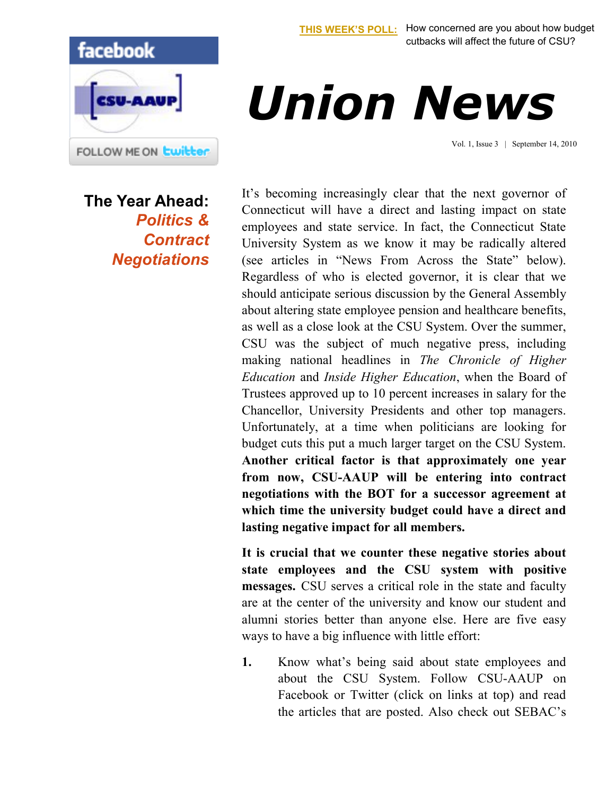

## *Union News*

Vol. 1, Issue 3 | September 14, 2010

**The Year Ahead:**  *Politics & Contract Negotiations* It's becoming increasingly clear that the next governor of Connecticut will have a direct and lasting impact on state employees and state service. In fact, the Connecticut State University System as we know it may be radically altered (see articles in "News From Across the State" below). Regardless of who is elected governor, it is clear that we should anticipate serious discussion by the General Assembly about altering state employee pension and healthcare benefits, as well as a close look at the CSU System. Over the summer, CSU was the subject of much negative press, including making national headlines in *The Chronicle of Higher Education* and *Inside Higher Education*, when the Board of Trustees approved up to 10 percent increases in salary for the Chancellor, University Presidents and other top managers. Unfortunately, at a time when politicians are looking for budget cuts this put a much larger target on the CSU System. **Another critical factor is that approximately one year from now, CSU-AAUP will be entering into contract negotiations with the BOT for a successor agreement at which time the university budget could have a direct and lasting negative impact for all members.** 

**It is crucial that we counter these negative stories about state employees and the CSU system with positive messages.** CSU serves a critical role in the state and faculty are at the center of the university and know our student and alumni stories better than anyone else. Here are five easy ways to have a big influence with little effort:

**1.** Know what's being said about state employees and about the CSU System. Follow CSU-AAUP on Facebook or Twitter (click on links at top) and read the articles that are posted. Also check out SEBAC's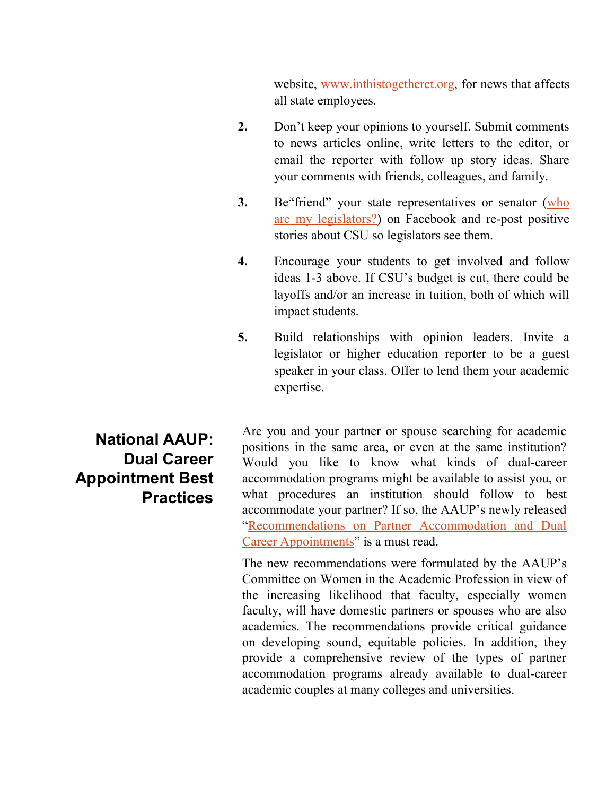website, [www.inthistogetherct.org,](http://www.inthistogetherct.org/) for news that affects all state employees.

- **2.** Don't keep your opinions to yourself. Submit comments to news articles online, write letters to the editor, or email the reporter with follow up story ideas. Share your comments with friends, colleagues, and family.
- **3.** Be "friend" your state representatives or senator (who [are my legislators?\)](http://www.congressweb.com/cweb2/index.cfm/siteid/BGAUP) on Facebook and re-post positive stories about CSU so legislators see them.
- **4.** Encourage your students to get involved and follow ideas 1-3 above. If CSU's budget is cut, there could be layoffs and/or an increase in tuition, both of which will impact students.
- **5.** Build relationships with opinion leaders. Invite a legislator or higher education reporter to be a guest speaker in your class. Offer to lend them your academic expertise.

**National AAUP: Dual Career Appointment Best Practices** Are you and your partner or spouse searching for academic positions in the same area, or even at the same institution? Would you like to know what kinds of dual-career accommodation programs might be available to assist you, or what procedures an institution should follow to best accommodate your partner? If so, the AAUP's newly released "[Recommendations on Partner Accommodation and Dual](http://lyris.eresources.com:81/t/5286975/5600656/1941/0/)  [Career Appointments](http://lyris.eresources.com:81/t/5286975/5600656/1941/0/)" is a must read.

The new recommendations were formulated by the AAUP's Committee on Women in the Academic Profession in view of the increasing likelihood that faculty, especially women faculty, will have domestic partners or spouses who are also academics. The recommendations provide critical guidance on developing sound, equitable policies. In addition, they provide a comprehensive review of the types of partner accommodation programs already available to dual-career academic couples at many colleges and universities.